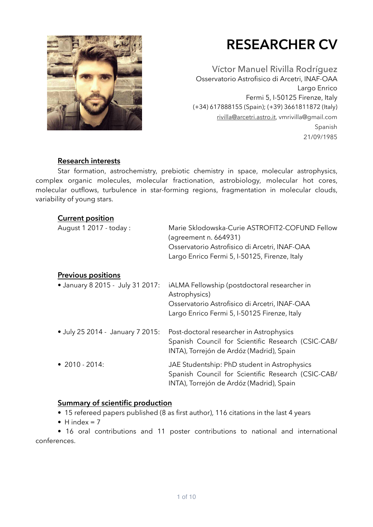

# **RESEARCHER CV**

Víctor Manuel Rivilla Rodríguez Osservatorio Astrofisico di Arcetri, INAF-OAA Largo Enrico Fermi 5, I-50125 Firenze, Italy (+34) 617888155 (Spain); (+39) 3661811872 (Italy) [rivilla@arcetri.astro.it](mailto:rivilla@arcetri.astro.it), vmrivilla@gmail.com Spanish 21/09/1985

#### **Research interests**

 Star formation, astrochemistry, prebiotic chemistry in space, molecular astrophysics, complex organic molecules, molecular fractionation, astrobiology, molecular hot cores, molecular outflows, turbulence in star-forming regions, fragmentation in molecular clouds, variability of young stars.

| <b>Current position</b>          |                                                                         |
|----------------------------------|-------------------------------------------------------------------------|
| August 1 2017 - today :          | Marie Sklodowska-Curie ASTROFIT2-COFUND Fellow<br>(agreement n. 664931) |
|                                  | Osservatorio Astrofisico di Arcetri, INAF-OAA                           |
|                                  | Largo Enrico Fermi 5, I-50125, Firenze, Italy                           |
| <b>Previous positions</b>        |                                                                         |
| • January 8 2015 - July 31 2017: | iALMA Fellowship (postdoctoral researcher in                            |
|                                  | Astrophysics)                                                           |
|                                  | Osservatorio Astrofisico di Arcetri, INAF-OAA                           |
|                                  | Largo Enrico Fermi 5, I-50125 Firenze, Italy                            |
| • July 25 2014 - January 7 2015: | Post-doctoral researcher in Astrophysics                                |
|                                  | Spanish Council for Scientific Research (CSIC-CAB/                      |
|                                  | INTA), Torrejón de Ardóz (Madrid), Spain                                |
| • $2010 - 2014$ :                | JAE Studentship: PhD student in Astrophysics                            |
|                                  | Spanish Council for Scientific Research (CSIC-CAB/                      |
|                                  | INTA), Torrejón de Ardóz (Madrid), Spain                                |
|                                  |                                                                         |

#### **Summary of scientific production**

• 15 refereed papers published (8 as first author), 116 citations in the last 4 years

 $\bullet$  H index = 7

 • 16 oral contributions and 11 poster contributions to national and international conferences.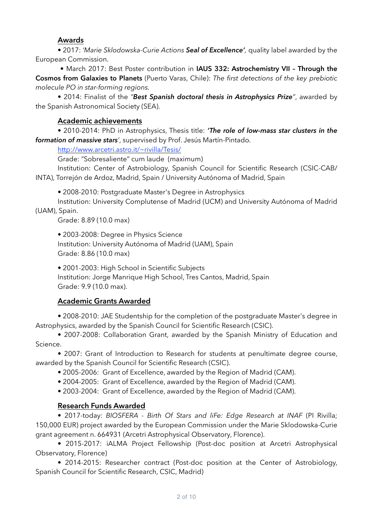#### **Awards**

• 2017: *'Marie Sklodowska-Curie Actions Seal of Excellence',* quality label awarded by the European Commission.

 • March 2017: Best Poster contribution in **IAUS 332: Astrochemistry VII – Through the Cosmos from Galaxies to Planets** (Puerto Varas, Chile): *The first detections of the key prebiotic molecule PO in star-forming regions.*

• 2014: Finalist of the *"Best Spanish doctoral thesis in Astrophysics Prize"*, awarded by the Spanish Astronomical Society (SEA).

## **Academic achievements**

 • 2010-2014: PhD in Astrophysics, Thesis title: *'The role of low-mass star clusters in the formation of massive stars'*, supervised by Prof. Jesús Martín-Pintado.

<http://www.arcetri.astro.it/~rivilla/Tesis/>

Grade: "Sobresaliente" cum laude (maximum)

 Institution: Center of Astrobiology, Spanish Council for Scientific Research (CSIC-CAB/ INTA), Torrejón de Ardoz, Madrid, Spain / University Autónoma of Madrid, Spain

• 2008-2010: Postgraduate Master's Degree in Astrophysics

 Institution: University Complutense of Madrid (UCM) and University Autónoma of Madrid (UAM), Spain.

Grade: 8.89 (10.0 max)

 • 2003-2008: Degree in Physics Science Institution: University Autónoma of Madrid (UAM), Spain Grade: 8.86 (10.0 max)

 **•** 2001-2003: High School in Scientific Subjects Institution: Jorge Manrique High School, Tres Cantos, Madrid, Spain Grade: 9.9 (10.0 max).

# **Academic Grants Awarded**

• 2008-2010: JAE Studentship for the completion of the postgraduate Master's degree in Astrophysics, awarded by the Spanish Council for Scientific Research (CSIC).

 • 2007-2008: Collaboration Grant, awarded by the Spanish Ministry of Education and Science.

 • 2007: Grant of Introduction to Research for students at penultimate degree course, awarded by the Spanish Council for Scientific Research (CSIC).

- 2005-2006: Grant of Excellence, awarded by the Region of Madrid (CAM).
- 2004-2005: Grant of Excellence, awarded by the Region of Madrid (CAM).

• 2003-2004: Grant of Excellence, awarded by the Region of Madrid (CAM).

# **Research Funds Awarded**

• 2017-today: *BIOSFERA - Birth Of Stars and liFe: Edge Research at INAF* (PI Rivilla; 150,000 EUR) project awarded by the European Commission under the Marie Sklodowska-Curie grant agreement n. 664931 (Arcetri Astrophysical Observatory, Florence).

• 2015-2017: iALMA Project Fellowship (Post-doc position at Arcetri Astrophysical Observatory, Florence)

 • 2014-2015: Researcher contract (Post-doc position at the Center of Astrobiology, Spanish Council for Scientific Research, CSIC, Madrid)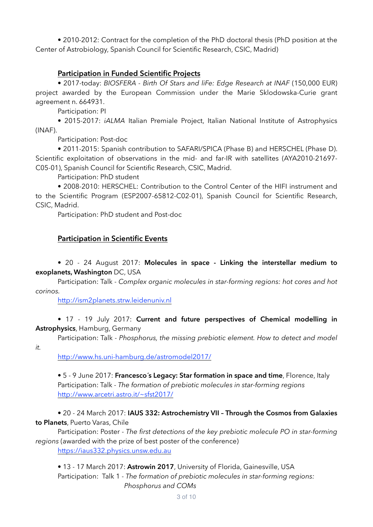• 2010-2012: Contract for the completion of the PhD doctoral thesis (PhD position at the Center of Astrobiology, Spanish Council for Scientific Research, CSIC, Madrid)

#### **Participation in Funded Scientific Projects**

 • 2017-today: *BIOSFERA - Birth Of Stars and liFe: Edge Research at INAF* (150,000 EUR) project awarded by the European Commission under the Marie Sklodowska-Curie grant agreement n. 664931.

Participation: PI

 • 2015-2017: *iALMA* Italian Premiale Project, Italian National Institute of Astrophysics (INAF).

Participation: Post-doc

• 2011-2015: Spanish contribution to SAFARI/SPICA (Phase B) and HERSCHEL (Phase D). Scientific exploitation of observations in the mid- and far-IR with satellites (AYA2010-21697- C05-01), Spanish Council for Scientific Research, CSIC, Madrid.

Participation: PhD student

 • 2008-2010: HERSCHEL: Contribution to the Control Center of the HIFI instrument and to the Scientific Program (ESP2007-65812-C02-01), Spanish Council for Scientific Research, CSIC, Madrid.

Participation: PhD student and Post-doc

#### **Participation in Scientific Events**

 • 20 - 24 August 2017: **Molecules in space - Linking the interstellar medium to exoplanets, Washington** DC, USA

 Participation: Talk - *Complex organic molecules in star-forming regions: hot cores and hot corinos.* 

<http://ism2planets.strw.leidenuniv.nl>

 • 17 - 19 July 2017: **Current and future perspectives of Chemical modelling in Astrophysics**, Hamburg, Germany

Participation: Talk - *Phosphorus, the missing prebiotic element. How to detect and model* 

*it.* 

<http://www.hs.uni-hamburg.de/astromodel2017/>

 • 5 - 9 June 2017: **Francesco´s Legacy: Star formation in space and time**, Florence, Italy Participation: Talk - *The formation of prebiotic molecules in star-forming regions* <http://www.arcetri.astro.it/~sfst2017/>

 • 20 - 24 March 2017: **IAUS 332: Astrochemistry VII – Through the Cosmos from Galaxies to Planets**, Puerto Varas, Chile

 Participation: Poster - *The first detections of the key prebiotic molecule PO in star-forming regions* (awarded with the prize of best poster of the conference)

<https://iaus332.physics.unsw.edu.au>

• 13 - 17 March 2017: **Astrowin 2017**, University of Florida, Gainesville, USA

 Participation: Talk 1 - *The formation of prebiotic molecules in star-forming regions: Phosphorus and COMs*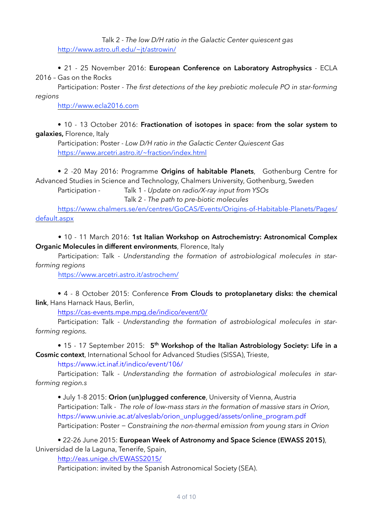Talk 2 *- The low D/H ratio in the Galactic Center quiescent gas* <http://www.astro.ufl.edu/~jt/astrowin/>

• 21 - 25 November 2016: **European Conference on Laboratory Astrophysics** - ECLA 2016 – Gas on the Rocks

 Participation: Poster - *The first detections of the key prebiotic molecule PO in star-forming regions*

<http://www.ecla2016.com>

#### • 10 - 13 October 2016: **Fractionation of isotopes in space: from the solar system to galaxies,** Florence, Italy

 Participation: Poster - *Low D/H ratio in the Galactic Center Quiescent Gas*  <https://www.arcetri.astro.it/~fraction/index.html>

• 2 -20 May 2016: Programme **Origins of habitable Planets**, Gothenburg Centre for Advanced Studies in Science and Technology, Chalmers University, Gothenburg, Sweden

 Participation - Talk 1 - *Update on radio/X-ray input from YSOs* Talk 2 - *The path to pre-biotic molecules*

[https://www.chalmers.se/en/centres/GoCAS/Events/Origins-of-Habitable-Planets/Pages/](https://www.chalmers.se/en/centres/GoCAS/Events/Origins-of-Habitable-Planets/Pages/default.aspx) default.aspx

 • 10 - 11 March 2016: **1st Italian Workshop on Astrochemistry: Astronomical Complex Organic Molecules in different environments**, Florence, Italy

 Participation: Talk - *Understanding the formation of astrobiological molecules in starforming regions*

<https://www.arcetri.astro.it/astrochem/>

 • 4 - 8 October 2015: Conference **From Clouds to protoplanetary disks: the chemical link**, Hans Harnack Haus, Berlin,

<https://cas-events.mpe.mpg.de/indico/event/0/>

 Participation: Talk - *Understanding the formation of astrobiological molecules in starforming regions.* 

• 15 - 17 September 2015: **5th Workshop of the Italian Astrobiology Society: Life in a Cosmic context**, International School for Advanced Studies (SISSA), Trieste,

<https://www.ict.inaf.it/indico/event/106/>

Participation: Talk *- Understanding the formation of astrobiological molecules in starforming region.s* 

 • July 1-8 2015: **Orion (un)plugged conference**, University of Vienna, Austria Participation: Talk - *The role of low-mass stars in the formation of massive stars in Orion,*  [https://www.univie.ac.at/alveslab/orion\\_unplugged/assets/online\\_program.pdf](https://www.univie.ac.at/alveslab/orion_unplugged/assets/online_program.pdf) Participation: Poster − *Constraining the non-thermal emission from young stars in Orion* 

• 22-26 June 2015: **European Week of Astronomy and Space Science (EWASS 2015)**, Universidad de la Laguna, Tenerife, Spain,

[http://eas.unige.ch/EWASS2015/](http://eas.unige.ch/ewass2015/)

Participation: invited by the Spanish Astronomical Society (SEA).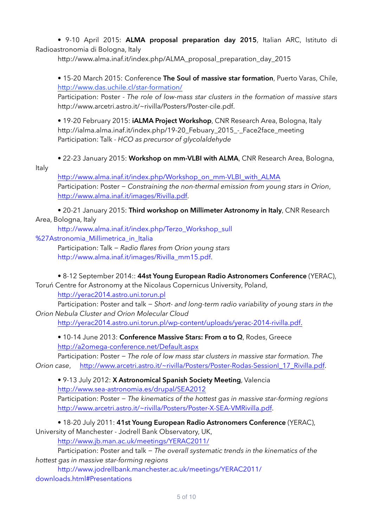• 9-10 April 2015: **ALMA proposal preparation day 2015**, Italian ARC, Istituto di Radioastronomia di Bologna, Italy

[http://www.alma.inaf.it/index.php/ALMA\\_proposal\\_preparation\\_day\\_2015](http://www.alma.inaf.it/index.php/alma_proposal_preparation_day_2015)

• 15-20 March 2015: Conference **The Soul of massive star formation**, Puerto Varas, Chile, <http://www.das.uchile.cl/star-formation/>

Participation: Poster *- The role of low-mass star clusters in the formation of massive stars* [http://www.arcetri.astro.it/~rivilla/Posters/Poster-cile.pdf](http://www.arcetri.astro.it/~rivilla/posters/poster-cile.pdf).

 • 19-20 February 2015: **iALMA Project Workshop**, CNR Research Area, Bologna, Italy [http://ialma.alma.inaf.it/index.php/19-20\\_Febuary\\_2015\\_-\\_Face2face\\_meeting](http://ialma.alma.inaf.it/index.php/19-20_febuary_2015_-_face2face_meeting)  Participation: Talk - *HCO as precursor of glycolaldehyde*

• 22-23 January 2015: **Workshop on mm-VLBI with ALMA**, CNR Research Area, Bologna,

Italy

[http://www.alma.inaf.it/index.php/Workshop\\_on\\_mm-VLBI\\_with\\_ALMA](http://www.alma.inaf.it/index.php/workshop_on_mm-vlbi_with_alma) Participation: Poster − *Constraining the non-thermal emission from young stars in Orion*, [http://www.alma.inaf.it/images/Rivilla.pdf.](http://www.alma.inaf.it/images/rivilla.pdf)

 • 20-21 January 2015: **Third workshop on Millimeter Astronomy in Italy**, CNR Research Area, Bologna, Italy

 [http://www.alma.inaf.it/index.php/Terzo\\_Workshop\\_sull](http://www.alma.inaf.it/index.php/terzo_workshop_sull)

%27Astronomia Millimetrica in Italia

 Participation: Talk − *Radio flares from Orion young stars* [http://www.alma.inaf.it/images/Rivilla\\_mm15.pdf.](http://www.google.com/url?q=http%253a%252f%252fwww.alma.inaf.it%252fimages%252frivilla_mm15.pdf&sa=d&sntz=1&usg=afqjcnhvfl8vpsdptty7y881t2xiiqeuyw)

• 8-12 September 2014:: **44st Young European Radio Astronomers Conference** (YERAC),

Toruń Centre for Astronomy at the Nicolaus Copernicus University, Poland,

[http://yerac2014.astro.uni.torun.pl](http://www.google.com/url?q=http%253a%252f%252fyerac2014.astro.uni.torun.pl&sa=d&sntz=1&usg=afqjcnfht-nslmzgepeedy_qpo9kadobzw)

 Participation: Poster and talk − *Short- and long-term radio variability of young stars in the Orion Nebula Cluster and Orion Molecular Cloud* 

<http://yerac2014.astro.uni.torun.pl/wp-content/uploads/yerac-2014-rivilla.pdf>.

• 10-14 June 2013: **Conference Massive Stars: From α to Ω**, Rodes, Greece [http://a2omega-conference.net/Default.aspx](http://www.google.com/url?q=http%253a%252f%252fa2omega-conference.net%252fdefault.aspx&sa=d&sntz=1&usg=afqjcneagsfcb3cdsh2kwudmrakdkeedaa)

 Participation: Poster − *The role of low mass star clusters in massive star formation. The Orion case*, [http://www.arcetri.astro.it/~rivilla/Posters/Poster-Rodas-SessionI\\_17\\_Rivilla.pdf](http://www.arcetri.astro.it/~rivilla/posters/poster-rodas-sessioni_17_rivilla.pdf).

 • 9-13 July 2012: **X Astronomical Spanish Society Meeting**, Valencia [http://www.sea-astronomia.es/drupal/SEA2012](http://www.google.com/url?q=http%253a%252f%252fwww.sea-astronomia.es%252fdrupal%252fsea2012&sa=d&sntz=1&usg=afqjcnfnjje5a83ixvj6cpdyr9jta5eerq)

 Participation: Poster − *The kinematics of the hottest gas in massive star-forming regions* [http://www.arcetri.astro.it/~rivilla/Posters/Poster-X-SEA-VMRivilla.pdf](http://www.arcetri.astro.it/~rivilla/posters/poster-x-sea-vmrivilla.pdf).

• 18-20 July 2011: **41st Young European Radio Astronomers Conference** (YERAC),

University of Manchester - Jodrell Bank Observatory, UK,

[http://www.jb.man.ac.uk/meetings/YERAC2011/](http://www.google.com/url?q=http%253a%252f%252fwww.jb.man.ac.uk%252fmeetings%252fyerac2011%252f&sa=d&sntz=1&usg=afqjcngs9oi6qbscwkehxbos583mknfolq)

 Participation: Poster and talk − *The overall systematic trends in the kinematics of the hottest gas in massive star-forming regions* 

 [http://www.jodrellbank.manchester.ac.uk/meetings/YERAC2011/](http://www.jodrellbank.manchester.ac.uk/meetings/yerac2011/downloads.html#Presentations) downloads.html#Presentations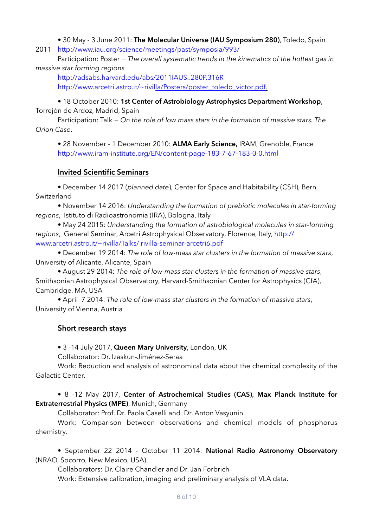• 30 May - 3 June 2011: **The Molecular Universe (IAU Symposium 280)**, Toledo, Spain

2011 [http://www.iau.org/science/meetings/past/symposia/993/](http://www.google.com/url?q=http%253a%252f%252fwww.iau.org%252fscience%252fmeetings%252fpast%252fsymposia%252f993%252f&sa=d&sntz=1&usg=afqjcngacplryuqd05bsuay8uabymm3bag)

 Participation: Poster − *The overall systematic trends in the kinematics of the hottest gas in massive star forming regions* 

 [http://adsabs.harvard.edu/abs/2011IAUS..280P.316R](http://www.google.com/url?q=http%253a%252f%252fadsabs.harvard.edu%252f&sa=d&sntz=1&usg=afqjcnfceyl0iwyyzjwpjio2zlh0kpelgw) http://www.arcetri.astro.it/~rivilla/Posters/poster\_toledo\_victor.pdf.

 • 18 October 2010: **1st Center of Astrobiology Astrophysics Department Workshop**, Torrejón de Ardoz, Madrid, Spain

 Participation: Talk − *On the role of low mass stars in the formation of massive stars. The Orion Case*.

 • 28 November - 1 December 2010: **ALMA Early Science,** IRAM, Grenoble, France [http://www.iram-institute.org/EN/content-page-183-7-67-183-0-0.html](http://www.iram-institute.org/en/content-page-183-7-67-183-0-0.html)

# **Invited Scientific Seminars**

• December 14 2017 (*planned date*), Center for Space and Habitability (CSH), Bern, Switzerland

 • November 14 2016: *Understanding the formation of prebiotic molecules in star-forming regions*, Istituto di Radioastronomia (IRA), Bologna, Italy

 • May 24 2015: *Understanding the formation of astrobiological molecules in star-forming regions*[, General Seminar, Arcetri Astrophysical Observatory, Florence, Italy, http://](http://www.google.com/url?q=http%253a%252f%252fwww.arcetri.astro.it%252f~rivilla%252ftalks%252f&sa=d&sntz=1&usg=afqjcnej8ut7karj6pqsga77s-b6e0pbdg) www.arcetri.astro.it/~rivilla/Talks/ rivilla-seminar-arcetri6.pdf

• December 19 2014: *The role of low-mass star clusters in the formation of massive stars*, University of Alicante, Alicante, Spain

 • August 29 2014: *The role of low-mass star clusters in the formation of massive stars*, Smithsonian Astrophysical Observatory, Harvard-Smithsonian Center for Astrophysics (CfA), Cambridge, MA, USA

 • April 7 2014: *The role of low-mass star clusters in the formation of massive stars*, University of Vienna, Austria

# **Short research stays**

• 3 -14 July 2017, **Queen Mary University**, London, UK

Collaborator: Dr. Izaskun-Jiménez-Seraa

 Work: Reduction and analysis of astronomical data about the chemical complexity of the Galactic Center.

#### • 8 -12 May 2017, **Center of Astrochemical Studies (CAS), Max Planck Institute for Extraterrestrial Physics (MPE)**, Munich, Germany

Collaborator: Prof. Dr. Paola Caselli and Dr. Anton Vasyunin

 Work: Comparison between observations and chemical models of phosphorus chemistry.

 • September 22 2014 - October 11 2014: **National Radio Astronomy Observatory** (NRAO, Socorro, New Mexico, USA).

Collaborators: Dr. Claire Chandler and Dr. Jan Forbrich

Work: Extensive calibration, imaging and preliminary analysis of VLA data.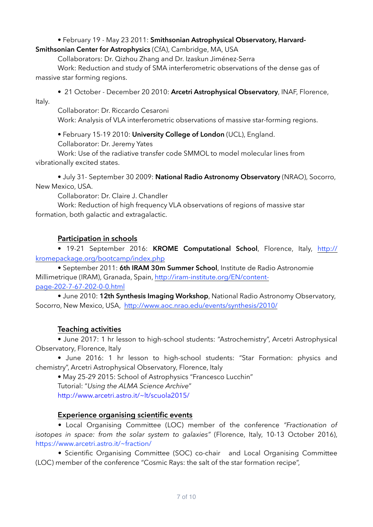# • February 19 - May 23 2011: **Smithsonian Astrophysical Observatory, Harvard-**

**Smithsonian Center for Astrophysics** (CfA), Cambridge, MA, USA

Collaborators: Dr. Qizhou Zhang and Dr. Izaskun Jiménez-Serra

 Work: Reduction and study of SMA interferometric observations of the dense gas of massive star forming regions.

• 21 October - December 20 2010: **Arcetri Astrophysical Observatory**, INAF, Florence, Italy.

Collaborator: Dr. Riccardo Cesaroni

Work: Analysis of VLA interferometric observations of massive star-forming regions.

• February 15-19 2010: **University College of London** (UCL), England.

Collaborator: Dr. Jeremy Yates

 Work: Use of the radiative transfer code SMMOL to model molecular lines from vibrationally excited states.

• July 31- September 30 2009: **National Radio Astronomy Observatory** (NRAO), Socorro, New Mexico, USA.

Collaborator: Dr. Claire J. Chandler

 Work: Reduction of high frequency VLA observations of regions of massive star formation, both galactic and extragalactic.

#### **Participation in schools**

• 19-21 September 2016: **KROME Computational School**, Florence, Italy, http:// [kromepackage.org/bootcamp/index.php](http://kromepackage.org/bootcamp/index.php)

 • September 2011: **6th IRAM 30m Summer School**, Institute de Radio Astronomie [Millimetrique \(IRAM\), Granada, Spain,](http://iram-institute.org/EN/content-page-202-7-67-202-0-0.html) http://iram-institute.org/EN/contentpage-202-7-67-202-0-0.html

 • June 2010: **12th Synthesis Imaging Workshop**, National Radio Astronomy Observatory, Socorro, New Mexico, USA, <http://www.aoc.nrao.edu/events/synthesis/2010/>

#### **Teaching activities**

 • June 2017: 1 hr lesson to high-school students: "Astrochemistry", Arcetri Astrophysical Observatory, Florence, Italy

 • June 2016: 1 hr lesson to high-school students: "Star Formation: physics and chemistry", Arcetri Astrophysical Observatory, Florence, Italy

• May 25-29 2015: School of Astrophysics "Francesco Lucchin"

Tutorial: "*Using the ALMA Science Archive*"

 [http://www.arcetri.astro.it/~lt/scuola2015/](http://www.google.com/url?q=http%253a%252f%252fwww.arcetri.astro.it%252f~lt%252fscuola2015%252f&sa=d&sntz=1&usg=afqjcnfchav0qurapaf72hvsadhaey0vcq)

#### **Experience organising scientific events**

• Local Organising Committee (LOC) member of the conference *"Fractionation of isotopes in space: from the solar system to galaxies"* (Florence, Italy, 10-13 October 2016), https://www.arcetri.astro.it/~fraction/

• Scientific Organising Committee (SOC) co-chair and Local Organising Committee (LOC) member of the conference "Cosmic Rays: the salt of the star formation recipe",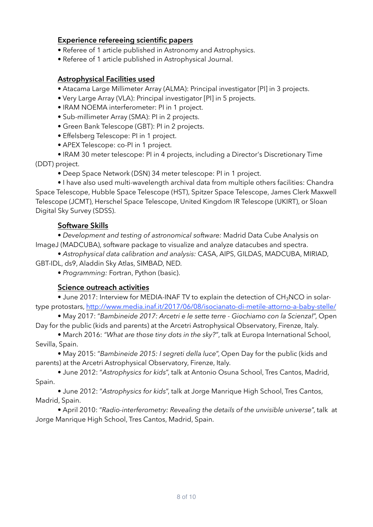#### **Experience refereeing scientific papers**

- Referee of 1 article published in Astronomy and Astrophysics.
- Referee of 1 article published in Astrophysical Journal.

#### **Astrophysical Facilities used**

- Atacama Large Millimeter Array (ALMA): Principal investigator [PI] in 3 projects.
- Very Large Array (VLA): Principal investigator [PI] in 5 projects.
- IRAM NOEMA interferometer: PI in 1 project.
- Sub-millimeter Array (SMA): PI in 2 projects.
- Green Bank Telescope (GBT): PI in 2 projects.
- Effelsberg Telescope: PI in 1 project.
- APEX Telescope: co-PI in 1 project.
- IRAM 30 meter telescope: PI in 4 projects, including a Director's Discretionary Time

(DDT) project.

• Deep Space Network (DSN) 34 meter telescope: PI in 1 project.

 • I have also used multi-wavelength archival data from multiple others facilities: Chandra Space Telescope, Hubble Space Telescope (HST), Spitzer Space Telescope, James Clerk Maxwell Telescope (JCMT), Herschel Space Telescope, United Kingdom IR Telescope (UKIRT), or Sloan Digital Sky Survey (SDSS).

# **Software Skills**

 • *Development and testing of astronomical software:* Madrid Data Cube Analysis on ImageJ (MADCUBA), software package to visualize and analyze datacubes and spectra.

 • *Astrophysical data calibration and analysis:* CASA, AIPS, GILDAS, MADCUBA, MIRIAD, GBT-IDL, ds9, Aladdin Sky Atlas, SIMBAD, NED.

• *Programming:* Fortran, Python (basic).

#### **Science outreach activities**

• June 2017: Interview for MEDIA-INAF TV to explain the detection of CH<sub>3</sub>NCO in solar-

type protostars, <http://www.media.inaf.it/2017/06/08/isocianato-di-metile-attorno-a-baby-stelle/> • May 2017: "*Bambineide 2017: Arcetri e le sette terre - Giochiamo con la Scienza!*", Open

Day for the public (kids and parents) at the Arcetri Astrophysical Observatory, Firenze, Italy.

• March 2016: *"What are those tiny dots in the sky?"*, talk at Europa International School, Sevilla, Spain.

• May 2015: "*Bambineide 2015: I segreti della luce*", Open Day for the public (kids and parents) at the Arcetri Astrophysical Observatory, Firenze, Italy.

 • June 2012: "*Astrophysics for kids*", talk at Antonio Osuna School, Tres Cantos, Madrid, Spain.

 • June 2012: "*Astrophysics for kids*", talk at Jorge Manrique High School, Tres Cantos, Madrid, Spain.

 • April 2010: "*Radio-interferometry: Revealing the details of the unvisible universe*", talk at Jorge Manrique High School, Tres Cantos, Madrid, Spain.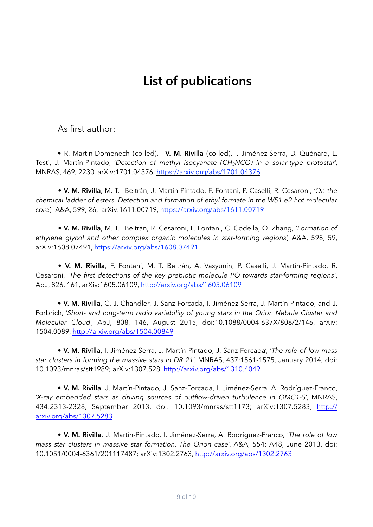# **List of publications**

As first author:

 • R. Martín-Domenech (co-led), **V. M. Rivilla** (co-led)**,** I. Jiménez-Serra, D. Quénard, L. Testi, J. Martín-Pintado, '*Detection of methyl isocyanate (CH3NCO) in a solar-type protostar*', MNRAS, 469, 2230, arXiv:1701.04376, <https://arxiv.org/abs/1701.04376>

 • **V. M. Rivilla**, M. T. Beltrán, J. Martín-Pintado, F. Fontani, P. Caselli, R. Cesaroni, *'On the chemical ladder of esters. Detection and formation of ethyl formate in the W51 e2 hot molecular core',* A&A, 599, 26, arXiv:1611.00719, <https://arxiv.org/abs/1611.00719>

 • **V. M. Rivilla**, M. T. Beltrán, R. Cesaroni, F. Fontani, C. Codella, Q. Zhang, '*Formation of*  ethylene glycol and other complex organic molecules in star-forming regions', A&A, 598, 59, arXiv:1608.07491, <https://arxiv.org/abs/1608.07491>

 • **V. M. Rivilla**, F. Fontani, M. T. Beltrán, A. Vasyunin, P. Caselli, J. Martín-Pintado, R. Cesaroni, *`The first detections of the key prebiotic molecule PO towards star-forming regions`*, ApJ, 826, 161, arXiv:1605.06109, <http://arxiv.org/abs/1605.06109>

• **V. M. Rivilla**, C. J. Chandler, J. Sanz-Forcada, I. Jiménez-Serra, J. Martín-Pintado, and J. Forbrich, '*Short- and long-term radio variability of young stars in the Orion Nebula Cluster and Molecular Cloud*', ApJ, 808, 146, August 2015, doi:10.1088/0004-637X/808/2/146, arXiv: 1504.0089, <http://arxiv.org/abs/1504.00849>

 • **V. M. Rivilla**, I. Jiménez-Serra, J. Martín-Pintado, J. Sanz-Forcada', '*The role of low-mass star clusters in forming the massive stars in DR 21*', MNRAS, 437:1561-1575, January 2014, doi: 10.1093/mnras/stt1989; arXiv:1307.528,<http://arxiv.org/abs/1310.4049>

 • **V. M. Rivilla**, J. Martín-Pintado, J. Sanz-Forcada, I. Jiménez-Serra, A. Rodríguez-Franco, '*X-ray embedded stars as driving sources of outflow-driven turbulence in OMC1-S*', MNRAS, [434:2313-2328, September 2013, doi: 10.1093/mnras/stt1173; arXiv:1307.5283, http://](http://arxiv.org/abs/1302.2763) arxiv.org/abs/1307.5283

 • **V. M. Rivilla**, J. Martín-Pintado, I. Jiménez-Serra, A. Rodríguez-Franco, '*The role of low mass star clusters in massive star formation. The Orion case*', A&A, 554: A48, June 2013, doi: 10.1051/0004-6361/201117487; arXiv:1302.2763, <http://arxiv.org/abs/1302.2763>